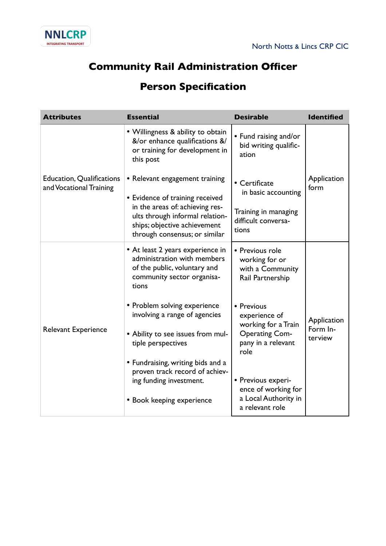

## **Community Rail Administration Officer**

## **Person Specification**

| <b>Attributes</b>                                           | <b>Essential</b>                                                                                                                                                                                         | <b>Desirable</b>                                                                                          | <b>Identified</b>                  |
|-------------------------------------------------------------|----------------------------------------------------------------------------------------------------------------------------------------------------------------------------------------------------------|-----------------------------------------------------------------------------------------------------------|------------------------------------|
| <b>Education, Qualifications</b><br>and Vocational Training | • Willingness & ability to obtain<br>&/or enhance qualifications &/<br>or training for development in<br>this post                                                                                       | • Fund raising and/or<br>bid writing qualific-<br>ation                                                   |                                    |
|                                                             | • Relevant engagement training<br>• Evidence of training received<br>in the areas of: achieving res-<br>ults through informal relation-<br>ships; objective achievement<br>through consensus; or similar | • Certificate<br>in basic accounting<br>Training in managing<br>difficult conversa-<br>tions              | Application<br>form                |
| Relevant Experience                                         | • At least 2 years experience in<br>administration with members<br>of the public, voluntary and<br>community sector organisa-<br>tions                                                                   | • Previous role<br>working for or<br>with a Community<br>Rail Partnership                                 |                                    |
|                                                             | • Problem solving experience<br>involving a range of agencies<br>• Ability to see issues from mul-<br>tiple perspectives                                                                                 | • Previous<br>experience of<br>working for a Train<br><b>Operating Com-</b><br>pany in a relevant<br>role | Application<br>Form In-<br>terview |
|                                                             | • Fundraising, writing bids and a<br>proven track record of achiev-<br>ing funding investment.<br>• Book keeping experience                                                                              | • Previous experi-<br>ence of working for<br>a Local Authority in<br>a relevant role                      |                                    |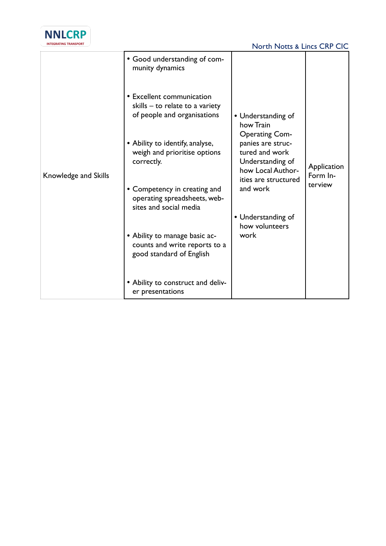

|                      | • Good understanding of com-<br>munity dynamics                                             |                                                                                                      |                         |
|----------------------|---------------------------------------------------------------------------------------------|------------------------------------------------------------------------------------------------------|-------------------------|
| Knowledge and Skills | • Excellent communication<br>skills - to relate to a variety<br>of people and organisations | • Understanding of<br>how Train<br><b>Operating Com-</b>                                             |                         |
|                      | • Ability to identify, analyse,<br>weigh and prioritise options<br>correctly.               | panies are struc-<br>tured and work<br>Understanding of<br>how Local Author-<br>ities are structured | Application<br>Form In- |
|                      | • Competency in creating and<br>operating spreadsheets, web-<br>sites and social media      | and work                                                                                             | terview                 |
|                      |                                                                                             | • Understanding of<br>how volunteers                                                                 |                         |
|                      | • Ability to manage basic ac-<br>counts and write reports to a<br>good standard of English  | work                                                                                                 |                         |
|                      | • Ability to construct and deliv-<br>er presentations                                       |                                                                                                      |                         |